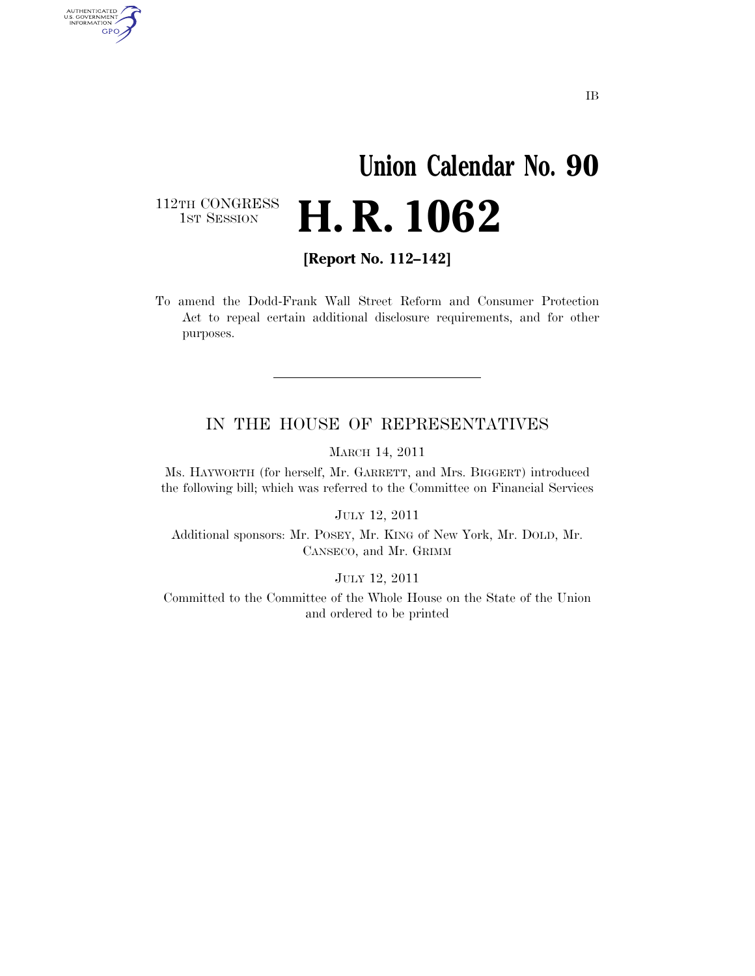## **Union Calendar No. 90**  H. R. 1062

112TH CONGRESS<br>1st Session

AUTHENTICATED<br>U.S. GOVERNMENT<br>INFORMATION GPO

**[Report No. 112–142]** 

To amend the Dodd-Frank Wall Street Reform and Consumer Protection Act to repeal certain additional disclosure requirements, and for other purposes.

## IN THE HOUSE OF REPRESENTATIVES

MARCH 14, 2011

Ms. HAYWORTH (for herself, Mr. GARRETT, and Mrs. BIGGERT) introduced the following bill; which was referred to the Committee on Financial Services

JULY 12, 2011

Additional sponsors: Mr. POSEY, Mr. KING of New York, Mr. DOLD, Mr. CANSECO, and Mr. GRIMM

JULY 12, 2011

Committed to the Committee of the Whole House on the State of the Union and ordered to be printed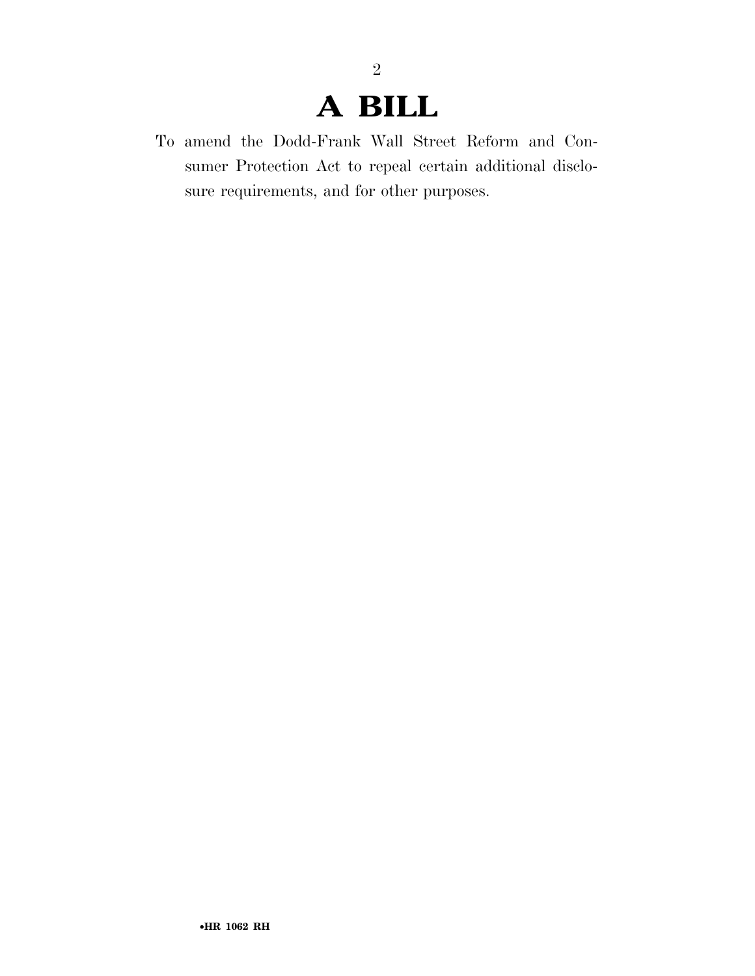## **A BILL**

2

To amend the Dodd-Frank Wall Street Reform and Consumer Protection Act to repeal certain additional disclosure requirements, and for other purposes.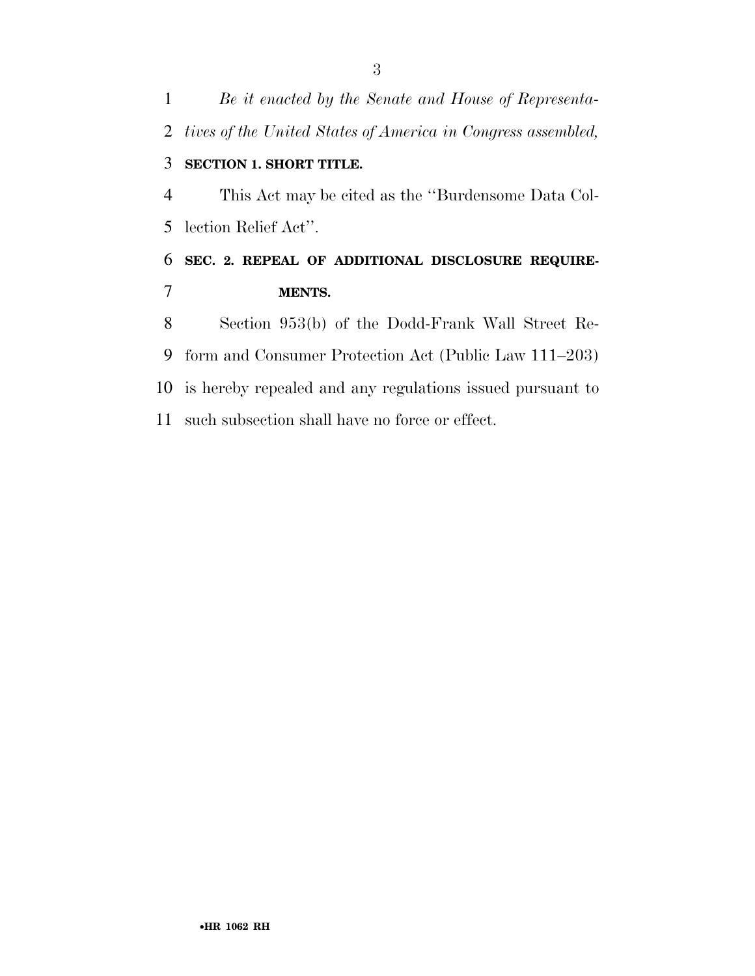*Be it enacted by the Senate and House of Representa- tives of the United States of America in Congress assembled,*  **SECTION 1. SHORT TITLE.**  This Act may be cited as the ''Burdensome Data Col- lection Relief Act''. **SEC. 2. REPEAL OF ADDITIONAL DISCLOSURE REQUIRE- MENTS.**  Section 953(b) of the Dodd-Frank Wall Street Re- form and Consumer Protection Act (Public Law 111–203) is hereby repealed and any regulations issued pursuant to such subsection shall have no force or effect.